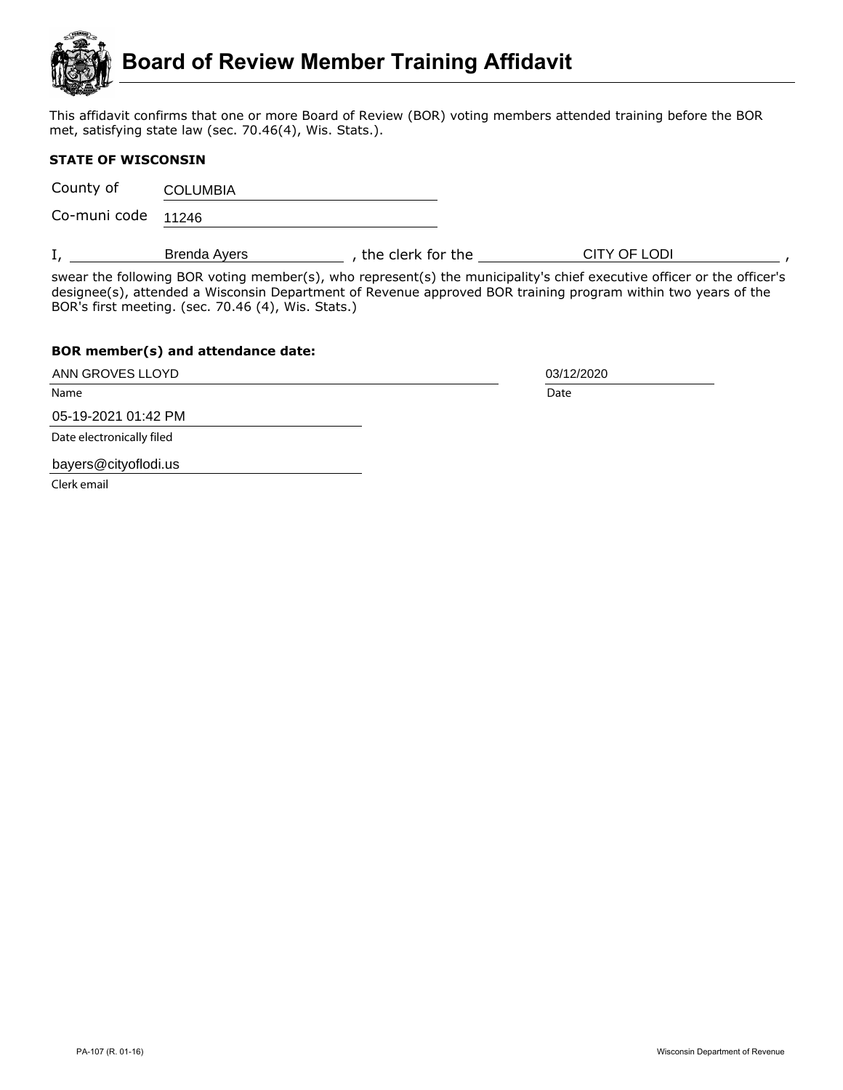

This affidavit confirms that one or more Board of Review (BOR) voting members attended training before the BOR met, satisfying state law (sec. 70.46(4), Wis. Stats.).

## **STATE OF WISCONSIN**

County of **COLUMBIA** 

Co-muni code 11246

I, Genda Ayers Area clerk for the CITY OF LODI All and the set of the set of the set of the set of the set of the set of the set of the set of the set of the set of the set of the set of the set of the set of the set of th

swear the following BOR voting member(s), who represent(s) the municipality's chief executive officer or the officer's designee(s), attended a Wisconsin Department of Revenue approved BOR training program within two years of the BOR's first meeting. (sec. 70.46 (4), Wis. Stats.)

## **BOR member(s) and attendance date:**

ANN GROVES LLOYD 2001 2002 2003/12/2020

Name Date **Date of the United States of the United States of the United States of the United States of the United States of the United States of the United States of the United States of the United States of the United Sta** 

05-19-2021 01:42 PM

Date electronically filed

bayers@cityoflodi.us

Clerk email